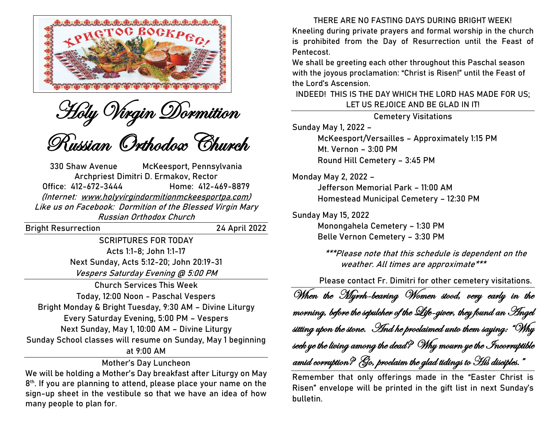



Russian Orthodox Church

330 Shaw Avenue McKeesport, Pennsylvania Archpriest Dimitri D. Ermakov, Rector Office: 412-672-3444 Home: 412-469-8879 (Internet: [www.holyvirgindormitionmckeesportpa.com\)](http://www.holyvirgindormitionmckeesportpa.com/) Like us on Facebook: Dormition of the Blessed Virgin Mary Russian Orthodox Church

Bright Resurrection 24 April 2022

**SCRIPTURES FOR TODAY** Acts **1:**1-8; John **1:**1-17 Next Sunday, Acts **5:**12-20; John **20:**19-31 Vespers Saturday Evening @ 5:00 PM

**Church Services This Week Today, 12:00 Noon -** Paschal Vespers **Bright Monday & Bright Tuesday, 9:30 AM –** Divine Liturgy **Every Saturday Evening, 5:00 PM –** Vespers **Next Sunday, May 1, 10:00 AM –** Divine Liturgy Sunday School classes will resume on Sunday, May 1 beginning at 9:00 AM

**Mother's Day Luncheon**

We will be holding a Mother's Day breakfast after Liturgy on May 8 th. If you are planning to attend, please place your name on the sign-up sheet in the vestibule so that we have an idea of how many people to plan for.

**THERE ARE NO FASTING DAYS DURING BRIGHT WEEK!** Kneeling during private prayers and formal worship in the church is prohibited from the Day of Resurrection until the Feast of Pentecost.

We shall be greeting each other throughout this Paschal season with the joyous proclamation: "Christ is Risen!" until the Feast of the Lord's Ascension.

**INDEED! THIS IS THE DAY WHICH THE LORD HAS MADE FOR US; LET US REJOICE AND BE GLAD IN IT!**

**Cemetery Visitations Sunday May 1, 2022 –** McKeesport/Versailles – Approximately 1:15 PM Mt. Vernon – 3:00 PM Round Hill Cemetery – 3:45 PM **Monday May 2, 2022 –** Jefferson Memorial Park – 11:00 AM Homestead Municipal Cemetery – 12:30 PM

**Sunday May 15, 2022** Monongahela Cemetery – 1:30 PM Belle Vernon Cemetery – 3:30 PM

> **\*\*\*Please note that this schedule is dependent on the weather. All times are approximate\*\*\***

Please contact Fr. Dimitri for other cemetery visitations.

When the Myrrh-bearing Women stood, very early in the morning, before the sepulcher of the Life-giver, they found an Angel sitting upon the stone.  $\hspace{.1cm}$  Hnd he proclaimed unto them saying: "Why seek ye the living among the dead? Why mourn ye the Incorruptible amid corruption? Go, proclaim the glad tidings to His disciples."

Remember that only offerings made in the "Easter Christ is Risen" envelope will be printed in the gift list in next Sunday's bulletin.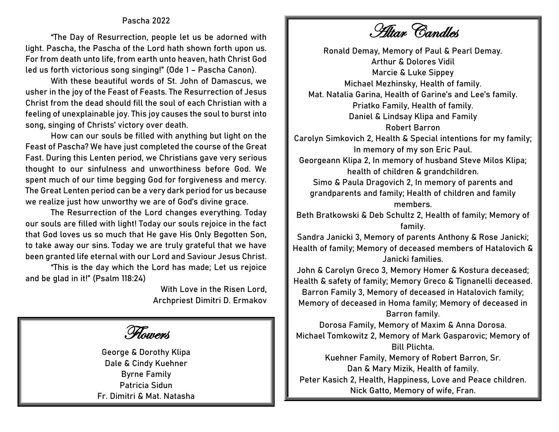## **Pascha 2022**

"The Day of Resurrection, people let us be adorned with light. Pascha, the Pascha of the Lord hath shown forth upon us. For from death unto life, from earth unto heaven, hath Christ God led us forth victorious song singing!" (Ode 1 – Pascha Canon).

With these beautiful words of St. John of Damascus, we usher in the joy of the Feast of Feasts. The Resurrection of Jesus Christ from the dead should fill the soul of each Christian with a feeling of unexplainable joy. This joy causes the soul to burst into song, singing of Christs' victory over death.

How can our souls be filled with anything but light on the Feast of Pascha? We have just completed the course of the Great Fast. During this Lenten period, we Christians gave very serious thought to our sinfulness and unworthiness before God. We spent much of our time begging God for forgiveness and mercy. The Great Lenten period can be a very dark period for us because we realize just how unworthy we are of God's divine grace.

The Resurrection of the Lord changes everything. Today our souls are filled with light! Today our souls rejoice in the fact that God loves us so much that He gave His Only Begotten Son, to take away our sins. Today we are truly grateful that we have been granted life eternal with our Lord and Saviour Jesus Christ.

"This is the day which the Lord has made; Let us rejoice and be glad in it!" (Psalm 118:24)

> With Love in the Risen Lord, Archpriest Dimitri D. Ermakov

Flowers

**George & Dorothy Klipa Dale & Cindy Kuehner Byrne Family Patricia Sidun Fr. Dimitri & Mat. Natasha**

Altar Candles

**Ronald Demay,** Memory of Paul & Pearl Demay. **Arthur & Dolores Vidil Marcie & Luke Sippey Michael Mezhinsky,** Health of family. **Mat. Natalia Garina,** Health of Garine's and Lee's family. **Priatko Family,** Health of family. **Daniel & Lindsay Klipa and Family Robert Barron Carolyn Simkovich 2,** Health & Special intentions for my family; In memory of my son Eric Paul. **Georgeann Klipa 2,** In memory of husband Steve Milos Klipa; health of children & grandchildren. **Simo & Paula Dragovich 2,** In memory of parents and grandparents and family; Health of children and family members. **Beth Bratkowski & Deb Schultz 2,** Health of family; Memory of family. **Sandra Janicki 3,** Memory of parents Anthony & Rose Janicki; Health of family; Memory of deceased members of Hatalovich & Janicki families. **John & Carolyn Greco 3,** Memory Homer & Kostura deceased; Health & safety of family; Memory Greco & Tignanelli deceased. **Barron Family 3,** Memory of deceased in Hatalovich family; Memory of deceased in Homa family; Memory of deceased in Barron family.

**Dorosa Family,** Memory of Maxim & Anna Dorosa. **Michael Tomkowitz 2,** Memory of Mark Gasparovic; Memory of Bill Plichta.

**Kuehner Family,** Memory of Robert Barron, Sr. **Dan & Mary Mizik,** Health of family. **Peter Kasich 2,** Health, Happiness, Love and Peace children. **Nick Gatto,** Memory of wife, Fran.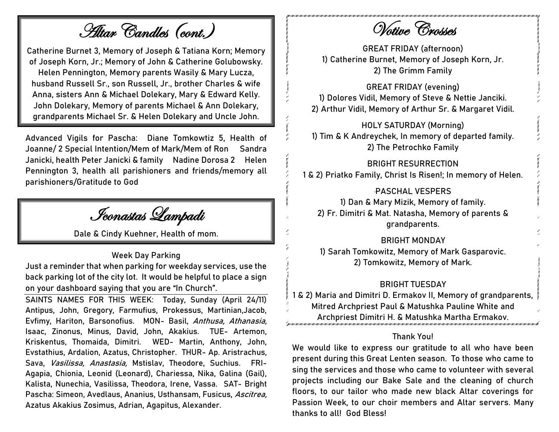Altar Candles (cont.)

**Catherine Burnet 3,** Memory of Joseph & Tatiana Korn; Memory of Joseph Korn, Jr.; Memory of John & Catherine Golubowsky. **Helen Pennington,** Memory parents Wasily & Mary Lucza, husband Russell Sr., son Russell, Jr., brother Charles & wife Anna, sisters Ann & Michael Dolekary, Mary & Edward Kelly. **John Dolekary,** Memory of parents Michael & Ann Dolekary, grandparents Michael Sr. & Helen Dolekary and Uncle John.

**Advanced Vigils for Pascha:** Diane Tomkowtiz 5, Health of Joanne/ 2 Special Intention/Mem of Mark/Mem of Ron Sandra Janicki, health Peter Janicki & family Nadine Dorosa 2 Helen Pennington 3, health all parishioners and friends/memory all parishioners/Gratitude to God

Iconastas Lampadi

**Dale & Cindy Kuehner,** Health of mom.

## **Week Day Parking**

Just a reminder that when parking for weekday services, use the back parking lot of the city lot. It would be helpful to place a sign on your dashboard saying that you are "In Church".

**SAINTS NAMES FOR THIS WEEK:** Today, Sunday (April 24/11) Antipus, John, Gregory, Farmufius, Prokessus, Martinian,Jacob, Evfimy, Hariton, Barsonofius. **MON-** Basil, Anthusa, Athanasia, Isaac, Zinonus, Minus, David, John, Akakius. **TUE-** Artemon, Kriskentus, Thomaida, Dimitri. **WED-** Martin, Anthony, John, Evstathius, Ardalion, Azatus, Christopher. **THUR-** Ap. Aristrachus, Sava, Vasilissa, Anastasia, Mstislav, Theodore, Suchius. **FRI-**Agapia, Chionia, Leonid (Leonard), Chariessa, Nika, Galina (Gail), Kalista, Nunechia, Vasilissa, Theodora, Irene, Vassa. **SAT-** Bright Pascha: Simeon, Avedlaus, Ananius, Usthansam, Fusicus, Ascitrea, Azatus Akakius Zosimus, Adrian, Agapitus, Alexander.

Votive Crosses

**GREAT FRIDAY** (afternoon) **1) Catherine Burnet,** Memory of Joseph Korn, Jr. **2) The Grimm Family**

**GREAT FRIDAY** (evening) **1) Dolores Vidil,** Memory of Steve & Nettie Janciki. **2) Arthur Vidil,** Memory of Arthur Sr. & Margaret Vidil.

**HOLY SATURDAY (Morning) 1) Tim & K Andreychek,** In memory of departed family. **2) The Petrochko Family**

#### **BRIGHT RESURRECTION**

**1 & 2) Priatko Family,** Christ Is Risen!; In memory of Helen.

#### '**PASCHAL VESPERS**

**1) Dan & Mary Mizik,** Memory of family. **2) Fr. Dimitri & Mat. Natasha,** Memory of parents & grandparents.

#### **BRIGHT MONDAY**

**1) Sarah Tomkowitz,** Memory of Mark Gasparovic. **2) Tomkowitz,** Memory of Mark.

#### **BRIGHT TUESDAY**

**1 & 2) Maria and Dimitri D. Ermakov II,** Memory of grandparents, Mitred Archpriest Paul & Matushka Pauline White and Archpriest Dimitri H. & Matushka Martha Ermakov.

# **Thank You!**

We would like to express our gratitude to all who have been present during this Great Lenten season. To those who came to sing the services and those who came to volunteer with several projects including our Bake Sale and the cleaning of church floors, to our tailor who made new black Altar coverings for Passion Week, to our choir members and Altar servers. Many thanks to all! God Bless!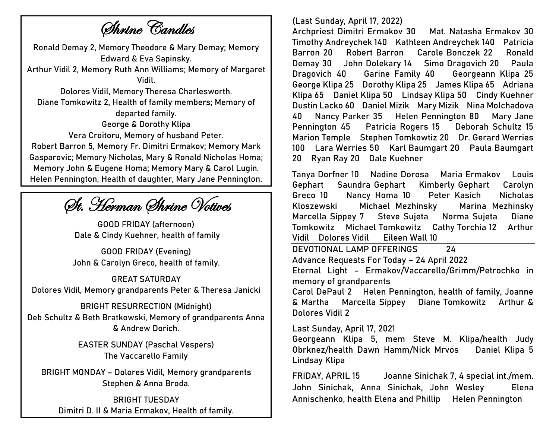Shrine Candles

**Ronald Demay 2,** Memory Theodore & Mary Demay; Memory Edward & Eva Sapinsky. **Arthur Vidil 2,** Memory Ruth Ann Williams; Memory of Margaret Vidil. **Dolores Vidil,** Memory Theresa Charlesworth. **Diane Tomkowitz 2,** Health of family members; Memory of departed family. **George & Dorothy Klipa Vera Croitoru,** Memory of husband Peter. **Robert Barron 5,** Memory Fr. Dimitri Ermakov; Memory Mark Gasparovic; Memory Nicholas, Mary & Ronald Nicholas Homa; Memory John & Eugene Homa; Memory Mary & Carol Lugin. **Helen Pennington,** Health of daughter, Mary Jane Pennington.

St. Herman Shrine Votives

**GOOD FRIDAY (afternoon) Dale & Cindy Kuehner,** health of family

**GOOD FRIDAY (Evening) John & Carolyn Greco,** health of family.

**GREAT SATURDAY Dolores Vidil,** Memory grandparents Peter & Theresa Janicki

**BRIGHT RESURRECTION (Midnight) Deb Schultz & Beth Bratkowski,** Memory of grandparents Anna & Andrew Dorich.

> **EASTER SUNDAY (Paschal Vespers) The Vaccarello Family**

**BRIGHT MONDAY – Dolores Vidil,** Memory grandparents Stephen & Anna Broda.

**BRIGHT TUESDAY Dimitri D. II & Maria Ermakov,** Health of family.

# (Last Sunday, April 17, 2022)

Archpriest Dimitri Ermakov 30 Mat. Natasha Ermakov 30 Timothy Andreychek 140 Kathleen Andreychek 140 Patricia Barron 20 Robert Barron Carole Bonczek 22 Ronald Demay 30 John Dolekary 14 Simo Dragovich 20 Paula Dragovich 40 Garine Family 40 Georgeann Klipa 25 George Klipa 25 Dorothy Klipa 25 James Klipa 65 Adriana Klipa 65 Daniel Klipa 50 Lindsay Klipa 50 Cindy Kuehner Dustin Lacko 60 Daniel Mizik Mary Mizik Nina Molchadova 40 Nancy Parker 35 Helen Pennington 80 Mary Jane Pennington 45 Patricia Rogers 15 Deborah Schultz 15 Marion Temple Stephen Tomkowtiz 20 Dr. Gerard Werries 100 Lara Werries 50 Karl Baumgart 20 Paula Baumgart 20 Ryan Ray 20 Dale Kuehner

Tanya Dorfner 10 Nadine Dorosa Maria Ermakov Louis Gephart Saundra Gephart Kimberly Gephart Carolyn Greco 10 Nancy Homa 10 Peter Kasich Nicholas Kloszewski Michael Mezhinsky Marina Mezhinsky Marcella Sippey 7 Steve Sujeta Norma Sujeta Diane Tomkowitz Michael Tomkowitz Cathy Torchia 12 Arthur Vidil Dolores Vidil Eileen Wall 10

DEVOTIONAL LAMP OFFERINGS 24

**Advance Requests For Today** – 24 April 2022

**Eternal Light –** Ermakov/Vaccarello/Grimm/Petrochko in memory of grandparents

Carol DePaul 2 Helen Pennington, health of family, Joanne & Martha Marcella Sippey Diane Tomkowitz Arthur & Dolores Vidil 2

**Last Sunday, April 17, 2021**

Georgeann Klipa 5, mem Steve M. Klipa/health Judy Obrknez/health Dawn Hamm/Nick Mrvos Daniel Klipa 5 Lindsay Klipa

**FRIDAY, APRIL 15** Joanne Sinichak 7, 4 special int./mem. John Sinichak, Anna Sinichak, John Wesley Elena Annischenko, health Elena and Phillip Helen Pennington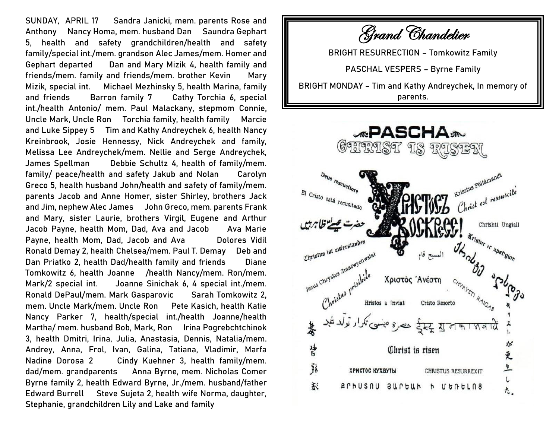**SUNDAY, APRIL 17** Sandra Janicki, mem. parents Rose and Anthony Nancy Homa, mem. husband Dan Saundra Gephart 5, health and safety grandchildren/health and safety family/special int./mem. grandson Alec James/mem. Homer and Gephart departed Dan and Mary Mizik 4, health family and friends/mem. family and friends/mem. brother Kevin Mary Mizik, special int. Michael Mezhinsky 5, health Marina, family and friends Barron family 7 Cathy Torchia 6, special int./health Antonio/ mem. Paul Malackany, stepmom Connie, Uncle Mark, Uncle Ron Torchia family, health family Marcie and Luke Sippey 5 Tim and Kathy Andreychek 6, health Nancy Kreinbrook, Josie Hennessy, Nick Andreychek and family, Melissa Lee Andreychek/mem. Nellie and Serge Andreychek, James Spellman Debbie Schultz 4, health of family/mem. family/ peace/health and safety Jakub and Nolan Carolyn Greco 5, health husband John/health and safety of family/mem. parents Jacob and Anne Homer, sister Shirley, brothers Jack and Jim, nephew Alec James John Greco, mem. parents Frank and Mary, sister Laurie, brothers Virgil, Eugene and Arthur Jacob Payne, health Mom, Dad, Ava and Jacob Ava Marie Payne, health Mom, Dad, Jacob and Ava Dolores Vidil Ronald Demay 2, health Chelsea/mem. Paul T. Demay Deb and Dan Priatko 2, health Dad/health family and friends Diane Tomkowitz 6, health Joanne /health Nancy/mem. Ron/mem. Mark/2 special int. Joanne Sinichak 6, 4 special int./mem. Ronald DePaul/mem. Mark Gasparovic Sarah Tomkowitz 2, mem. Uncle Mark/mem. Uncle Ron Pete Kasich, health Katie Nancy Parker 7, health/special int./health Joanne/health Martha/ mem. husband Bob, Mark, Ron Irina Pogrebchtchinok 3, health Dmitri, Irina, Julia, Anastasia, Dennis, Natalia/mem. Andrey, Anna, Frol, Ivan, Galina, Tatiana, Vladimir, Marfa Nadine Dorosa 2 Cindy Kuehner 3, health family/mem. dad/mem. grandparents Anna Byrne, mem. Nicholas Comer Byrne family 2, health Edward Byrne, Jr./mem. husband/father Edward Burrell Steve Sujeta 2, health wife Norma, daughter, Stephanie, grandchildren Lily and Lake and family

Grand Chandelier

**BRIGHT RESURRECTION – Tomkowitz Family**

**PASCHAL VESPERS – Byrne Family**

**BRIGHT MONDAY – Tim and Kathy Andreychek,** In memory of parents.